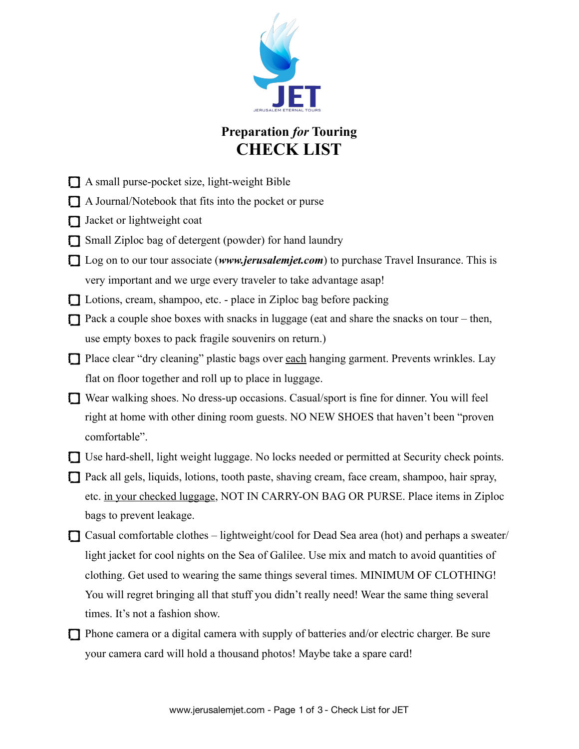

## **Preparation** *for* **Touring CHECK LIST**

- A small purse-pocket size, light-weight Bible
- A Journal/Notebook that fits into the pocket or purse
- $\Box$  Jacket or lightweight coat
- Small Ziploc bag of detergent (powder) for hand laundry
- □ Log on to our tour associate (*[www.jerusalemjet.com](http://www.jerusalemjet.com)*) to purchase Travel Insurance. This is very important and we urge every traveler to take advantage asap!
- Lotions, cream, shampoo, etc. place in Ziploc bag before packing
- Pack a couple shoe boxes with snacks in luggage (eat and share the snacks on tour then, use empty boxes to pack fragile souvenirs on return.)
- □ Place clear "dry cleaning" plastic bags over each hanging garment. Prevents wrinkles. Lay flat on floor together and roll up to place in luggage.
- Wear walking shoes. No dress-up occasions. Casual/sport is fine for dinner. You will feel right at home with other dining room guests. NO NEW SHOES that haven't been "proven comfortable".
- Use hard-shell, light weight luggage. No locks needed or permitted at Security check points.
- $\Box$  Pack all gels, liquids, lotions, tooth paste, shaving cream, face cream, shampoo, hair spray, etc. in your checked luggage, NOT IN CARRY-ON BAG OR PURSE. Place items in Ziploc bags to prevent leakage.
- $\Box$  Casual comfortable clothes lightweight/cool for Dead Sea area (hot) and perhaps a sweater/ light jacket for cool nights on the Sea of Galilee. Use mix and match to avoid quantities of clothing. Get used to wearing the same things several times. MINIMUM OF CLOTHING! You will regret bringing all that stuff you didn't really need! Wear the same thing several times. It's not a fashion show.
- $\Box$  Phone camera or a digital camera with supply of batteries and/or electric charger. Be sure your camera card will hold a thousand photos! Maybe take a spare card!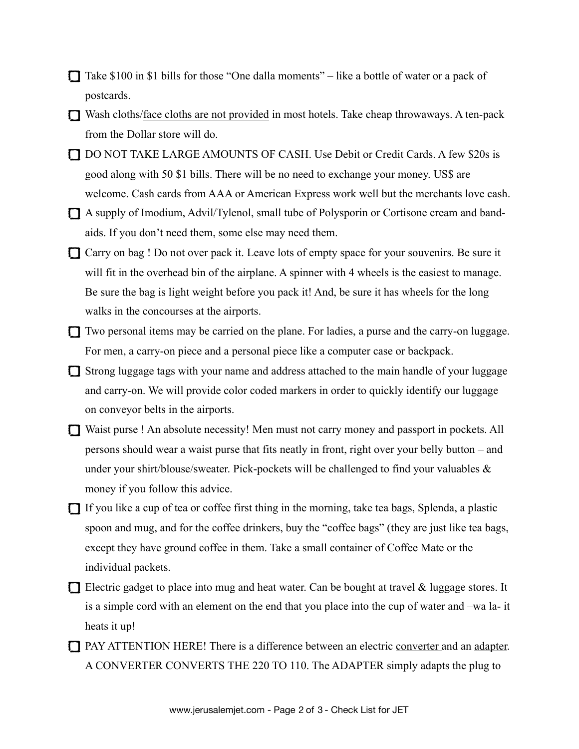- $\Box$  Take \$100 in \$1 bills for those "One dalla moments" like a bottle of water or a pack of postcards.
- Wash cloths/face cloths are not provided in most hotels. Take cheap throwaways. A ten-pack from the Dollar store will do.
- DO NOT TAKE LARGE AMOUNTS OF CASH. Use Debit or Credit Cards. A few \$20s is good along with 50 \$1 bills. There will be no need to exchange your money. US\$ are welcome. Cash cards from AAA or American Express work well but the merchants love cash.
- A supply of Imodium, Advil/Tylenol, small tube of Polysporin or Cortisone cream and bandaids. If you don't need them, some else may need them.
- Carry on bag ! Do not over pack it. Leave lots of empty space for your souvenirs. Be sure it will fit in the overhead bin of the airplane. A spinner with 4 wheels is the easiest to manage. Be sure the bag is light weight before you pack it! And, be sure it has wheels for the long walks in the concourses at the airports.
- Two personal items may be carried on the plane. For ladies, a purse and the carry-on luggage. For men, a carry-on piece and a personal piece like a computer case or backpack.
- $\Box$  Strong luggage tags with your name and address attached to the main handle of your luggage and carry-on. We will provide color coded markers in order to quickly identify our luggage on conveyor belts in the airports.
- Waist purse ! An absolute necessity! Men must not carry money and passport in pockets. All persons should wear a waist purse that fits neatly in front, right over your belly button – and under your shirt/blouse/sweater. Pick-pockets will be challenged to find your valuables  $\&$ money if you follow this advice.
- $\Box$  If you like a cup of tea or coffee first thing in the morning, take tea bags, Splenda, a plastic spoon and mug, and for the coffee drinkers, buy the "coffee bags" (they are just like tea bags, except they have ground coffee in them. Take a small container of Coffee Mate or the individual packets.
- $\Box$  Electric gadget to place into mug and heat water. Can be bought at travel & luggage stores. It is a simple cord with an element on the end that you place into the cup of water and –wa la- it heats it up!
- PAY ATTENTION HERE! There is a difference between an electric converter and an adapter. A CONVERTER CONVERTS THE 220 TO 110. The ADAPTER simply adapts the plug to